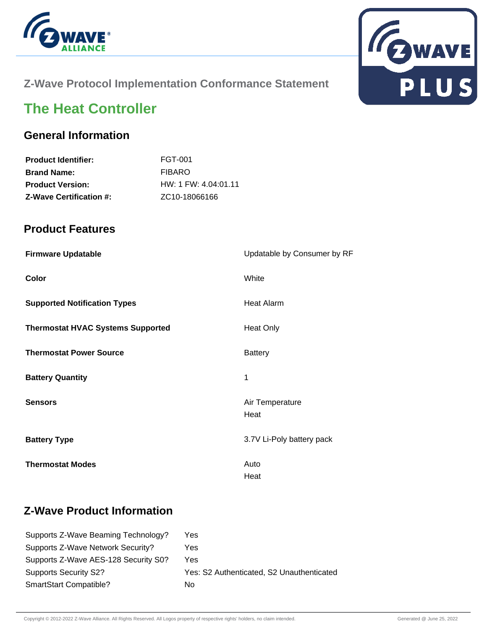



## **Z-Wave Protocol Implementation Conformance Statement**

# **The Heat Controller**

## **General Information**

| <b>Product Identifier:</b>     | FGT-001                |
|--------------------------------|------------------------|
| <b>Brand Name:</b>             | <b>FIBARO</b>          |
| <b>Product Version:</b>        | $HW: 1$ FW: 4.04:01.11 |
| <b>Z-Wave Certification #:</b> | ZC10-18066166          |

#### **Product Features**

| <b>Firmware Updatable</b>                | Updatable by Consumer by RF |
|------------------------------------------|-----------------------------|
| Color                                    | White                       |
| <b>Supported Notification Types</b>      | <b>Heat Alarm</b>           |
| <b>Thermostat HVAC Systems Supported</b> | <b>Heat Only</b>            |
| <b>Thermostat Power Source</b>           | <b>Battery</b>              |
| <b>Battery Quantity</b>                  | 1                           |
| <b>Sensors</b>                           | Air Temperature<br>Heat     |
| <b>Battery Type</b>                      | 3.7V Li-Poly battery pack   |
| <b>Thermostat Modes</b>                  | Auto<br>Heat                |

# **Z-Wave Product Information**

| Supports Z-Wave Beaming Technology?  | Yes                                       |
|--------------------------------------|-------------------------------------------|
| Supports Z-Wave Network Security?    | Yes                                       |
| Supports Z-Wave AES-128 Security S0? | Yes                                       |
| <b>Supports Security S2?</b>         | Yes: S2 Authenticated, S2 Unauthenticated |
| <b>SmartStart Compatible?</b>        | No                                        |
|                                      |                                           |